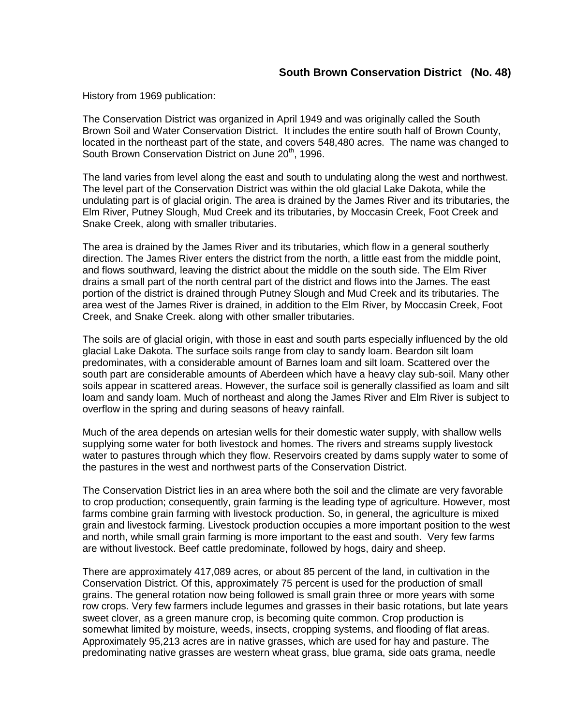History from 1969 publication:

The Conservation District was organized in April 1949 and was originally called the South Brown Soil and Water Conservation District. It includes the entire south half of Brown County, located in the northeast part of the state, and covers 548,480 acres. The name was changed to South Brown Conservation District on June 20<sup>th</sup>, 1996.

The land varies from level along the east and south to undulating along the west and northwest. The level part of the Conservation District was within the old glacial Lake Dakota, while the undulating part is of glacial origin. The area is drained by the James River and its tributaries, the Elm River, Putney Slough, Mud Creek and its tributaries, by Moccasin Creek, Foot Creek and Snake Creek, along with smaller tributaries.

The area is drained by the James River and its tributaries, which flow in a general southerly direction. The James River enters the district from the north, a little east from the middle point, and flows southward, leaving the district about the middle on the south side. The Elm River drains a small part of the north central part of the district and flows into the James. The east portion of the district is drained through Putney Slough and Mud Creek and its tributaries. The area west of the James River is drained, in addition to the Elm River, by Moccasin Creek, Foot Creek, and Snake Creek. along with other smaller tributaries.

The soils are of glacial origin, with those in east and south parts especially influenced by the old glacial Lake Dakota. The surface soils range from clay to sandy loam. Beardon silt loam predominates, with a considerable amount of Barnes loam and silt loam. Scattered over the south part are considerable amounts of Aberdeen which have a heavy clay sub-soil. Many other soils appear in scattered areas. However, the surface soil is generally classified as loam and silt loam and sandy loam. Much of northeast and along the James River and Elm River is subject to overflow in the spring and during seasons of heavy rainfall.

Much of the area depends on artesian wells for their domestic water supply, with shallow wells supplying some water for both livestock and homes. The rivers and streams supply livestock water to pastures through which they flow. Reservoirs created by dams supply water to some of the pastures in the west and northwest parts of the Conservation District.

The Conservation District lies in an area where both the soil and the climate are very favorable to crop production; consequently, grain farming is the leading type of agriculture. However, most farms combine grain farming with livestock production. So, in general, the agriculture is mixed grain and livestock farming. Livestock production occupies a more important position to the west and north, while small grain farming is more important to the east and south. Very few farms are without livestock. Beef cattle predominate, followed by hogs, dairy and sheep.

There are approximately 417,089 acres, or about 85 percent of the land, in cultivation in the Conservation District. Of this, approximately 75 percent is used for the production of small grains. The general rotation now being followed is small grain three or more years with some row crops. Very few farmers include legumes and grasses in their basic rotations, but late years sweet clover, as a green manure crop, is becoming quite common. Crop production is somewhat limited by moisture, weeds, insects, cropping systems, and flooding of flat areas. Approximately 95,213 acres are in native grasses, which are used for hay and pasture. The predominating native grasses are western wheat grass, blue grama, side oats grama, needle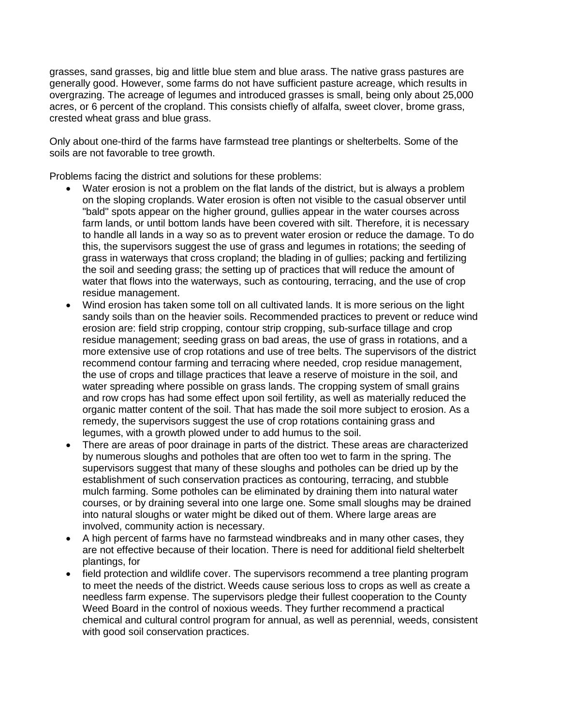grasses, sand grasses, big and little blue stem and blue arass. The native grass pastures are generally good. However, some farms do not have sufficient pasture acreage, which results in overgrazing. The acreage of legumes and introduced grasses is small, being only about 25,000 acres, or 6 percent of the cropland. This consists chiefly of alfalfa, sweet clover, brome grass, crested wheat grass and blue grass.

Only about one-third of the farms have farmstead tree plantings or shelterbelts. Some of the soils are not favorable to tree growth.

Problems facing the district and solutions for these problems:

- Water erosion is not a problem on the flat lands of the district, but is always a problem on the sloping croplands. Water erosion is often not visible to the casual observer until "bald" spots appear on the higher ground, gullies appear in the water courses across farm lands, or until bottom lands have been covered with silt. Therefore, it is necessary to handle all lands in a way so as to prevent water erosion or reduce the damage. To do this, the supervisors suggest the use of grass and legumes in rotations; the seeding of grass in waterways that cross cropland; the blading in of gullies; packing and fertilizing the soil and seeding grass; the setting up of practices that will reduce the amount of water that flows into the waterways, such as contouring, terracing, and the use of crop residue management.
- Wind erosion has taken some toll on all cultivated lands. It is more serious on the light sandy soils than on the heavier soils. Recommended practices to prevent or reduce wind erosion are: field strip cropping, contour strip cropping, sub-surface tillage and crop residue management; seeding grass on bad areas, the use of grass in rotations, and a more extensive use of crop rotations and use of tree belts. The supervisors of the district recommend contour farming and terracing where needed, crop residue management, the use of crops and tillage practices that leave a reserve of moisture in the soil, and water spreading where possible on grass lands. The cropping system of small grains and row crops has had some effect upon soil fertility, as well as materially reduced the organic matter content of the soil. That has made the soil more subject to erosion. As a remedy, the supervisors suggest the use of crop rotations containing grass and legumes, with a growth plowed under to add humus to the soil.
- There are areas of poor drainage in parts of the district. These areas are characterized by numerous sloughs and potholes that are often too wet to farm in the spring. The supervisors suggest that many of these sloughs and potholes can be dried up by the establishment of such conservation practices as contouring, terracing, and stubble mulch farming. Some potholes can be eliminated by draining them into natural water courses, or by draining several into one large one. Some small sloughs may be drained into natural sloughs or water might be diked out of them. Where large areas are involved, community action is necessary.
- A high percent of farms have no farmstead windbreaks and in many other cases, they are not effective because of their location. There is need for additional field shelterbelt plantings, for
- field protection and wildlife cover. The supervisors recommend a tree planting program to meet the needs of the district. Weeds cause serious loss to crops as well as create a needless farm expense. The supervisors pledge their fullest cooperation to the County Weed Board in the control of noxious weeds. They further recommend a practical chemical and cultural control program for annual, as well as perennial, weeds, consistent with good soil conservation practices.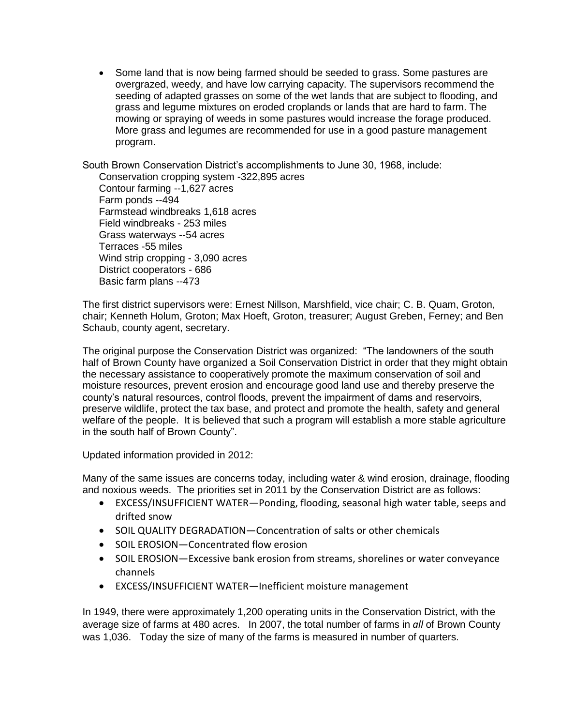• Some land that is now being farmed should be seeded to grass. Some pastures are overgrazed, weedy, and have low carrying capacity. The supervisors recommend the seeding of adapted grasses on some of the wet lands that are subject to flooding, and grass and legume mixtures on eroded croplands or lands that are hard to farm. The mowing or spraying of weeds in some pastures would increase the forage produced. More grass and legumes are recommended for use in a good pasture management program.

South Brown Conservation District's accomplishments to June 30, 1968, include:

Conservation cropping system -322,895 acres Contour farming --1,627 acres Farm ponds --494 Farmstead windbreaks 1,618 acres Field windbreaks - 253 miles Grass waterways --54 acres Terraces -55 miles Wind strip cropping - 3,090 acres District cooperators - 686 Basic farm plans --473

The first district supervisors were: Ernest Nillson, Marshfield, vice chair; C. B. Quam, Groton, chair; Kenneth Holum, Groton; Max Hoeft, Groton, treasurer; August Greben, Ferney; and Ben Schaub, county agent, secretary.

The original purpose the Conservation District was organized: "The landowners of the south half of Brown County have organized a Soil Conservation District in order that they might obtain the necessary assistance to cooperatively promote the maximum conservation of soil and moisture resources, prevent erosion and encourage good land use and thereby preserve the county's natural resources, control floods, prevent the impairment of dams and reservoirs, preserve wildlife, protect the tax base, and protect and promote the health, safety and general welfare of the people. It is believed that such a program will establish a more stable agriculture in the south half of Brown County".

Updated information provided in 2012:

Many of the same issues are concerns today, including water & wind erosion, drainage, flooding and noxious weeds. The priorities set in 2011 by the Conservation District are as follows:

- EXCESS/INSUFFICIENT WATER—Ponding, flooding, seasonal high water table, seeps and drifted snow
- SOIL QUALITY DEGRADATION—Concentration of salts or other chemicals
- SOIL EROSION-Concentrated flow erosion
- SOIL EROSION—Excessive bank erosion from streams, shorelines or water conveyance channels
- EXCESS/INSUFFICIENT WATER—Inefficient moisture management

In 1949, there were approximately 1,200 operating units in the Conservation District, with the average size of farms at 480 acres. In 2007, the total number of farms in *all* of Brown County was 1,036. Today the size of many of the farms is measured in number of quarters.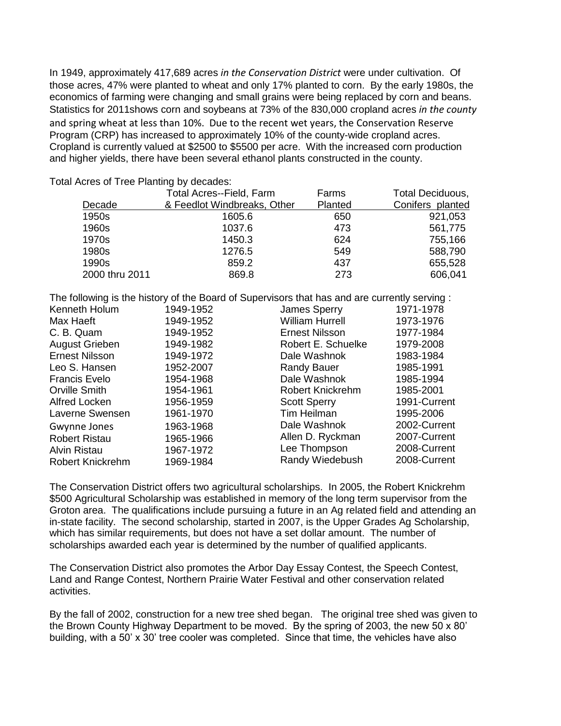In 1949, approximately 417,689 acres *in the Conservation District* were under cultivation. Of those acres, 47% were planted to wheat and only 17% planted to corn. By the early 1980s, the economics of farming were changing and small grains were being replaced by corn and beans. Statistics for 2011shows corn and soybeans at 73% of the 830,000 cropland acres *in the county* and spring wheat at less than 10%. Due to the recent wet years, the Conservation Reserve Program (CRP) has increased to approximately 10% of the county-wide cropland acres. Cropland is currently valued at \$2500 to \$5500 per acre. With the increased corn production and higher yields, there have been several ethanol plants constructed in the county.

Total Acres of Tree Planting by decades:

| Decade         | <b>Total Acres--Field, Farm</b><br>& Feedlot Windbreaks, Other | Farms<br>Planted | <b>Total Deciduous,</b><br>Conifers planted |
|----------------|----------------------------------------------------------------|------------------|---------------------------------------------|
| 1950s          | 1605.6                                                         | 650              | 921,053                                     |
| 1960s          | 1037.6                                                         | 473              | 561,775                                     |
| 1970s          | 1450.3                                                         | 624              | 755,166                                     |
| 1980s          | 1276.5                                                         | 549              | 588,790                                     |
| 1990s          | 859.2                                                          | 437              | 655,528                                     |
| 2000 thru 2011 | 869.8                                                          | 273              | 606,041                                     |

The following is the history of the Board of Supervisors that has and are currently serving :

| Kenneth Holum           | 1949-1952 | James Sperry            | 1971-1978    |
|-------------------------|-----------|-------------------------|--------------|
| Max Haeft               | 1949-1952 | <b>William Hurrell</b>  | 1973-1976    |
| C. B. Quam              | 1949-1952 | <b>Ernest Nilsson</b>   | 1977-1984    |
| August Grieben          | 1949-1982 | Robert E. Schuelke      | 1979-2008    |
| <b>Ernest Nilsson</b>   | 1949-1972 | Dale Washnok            | 1983-1984    |
| Leo S. Hansen           | 1952-2007 | <b>Randy Bauer</b>      | 1985-1991    |
| <b>Francis Evelo</b>    | 1954-1968 | Dale Washnok            | 1985-1994    |
| Orville Smith           | 1954-1961 | <b>Robert Knickrehm</b> | 1985-2001    |
| Alfred Locken           | 1956-1959 | <b>Scott Sperry</b>     | 1991-Current |
| Laverne Swensen         | 1961-1970 | Tim Heilman             | 1995-2006    |
| Gwynne Jones            | 1963-1968 | Dale Washnok            | 2002-Current |
| <b>Robert Ristau</b>    | 1965-1966 | Allen D. Ryckman        | 2007-Current |
| <b>Alvin Ristau</b>     | 1967-1972 | Lee Thompson            | 2008-Current |
| <b>Robert Knickrehm</b> | 1969-1984 | Randy Wiedebush         | 2008-Current |
|                         |           |                         |              |

The Conservation District offers two agricultural scholarships. In 2005, the Robert Knickrehm \$500 Agricultural Scholarship was established in memory of the long term supervisor from the Groton area. The qualifications include pursuing a future in an Ag related field and attending an in-state facility. The second scholarship, started in 2007, is the Upper Grades Ag Scholarship, which has similar requirements, but does not have a set dollar amount. The number of scholarships awarded each year is determined by the number of qualified applicants.

The Conservation District also promotes the Arbor Day Essay Contest, the Speech Contest, Land and Range Contest, Northern Prairie Water Festival and other conservation related activities.

By the fall of 2002, construction for a new tree shed began. The original tree shed was given to the Brown County Highway Department to be moved. By the spring of 2003, the new 50 x 80' building, with a 50' x 30' tree cooler was completed. Since that time, the vehicles have also